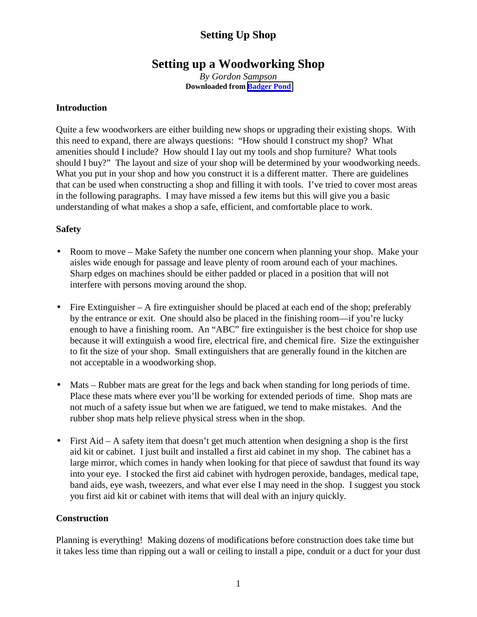# **Setting up a Woodworking Shop**

*By Gordon Sampson* **Downloaded from [Badger Pond](http://www.wwforum.com/)**

#### **Introduction**

Quite a few woodworkers are either building new shops or upgrading their existing shops. With this need to expand, there are always questions: "How should I construct my shop? What amenities should I include? How should I lay out my tools and shop furniture? What tools should I buy?" The layout and size of your shop will be determined by your woodworking needs. What you put in your shop and how you construct it is a different matter. There are guidelines that can be used when constructing a shop and filling it with tools. I've tried to cover most areas in the following paragraphs. I may have missed a few items but this will give you a basic understanding of what makes a shop a safe, efficient, and comfortable place to work.

#### **Safety**

- Room to move Make Safety the number one concern when planning your shop. Make your aisles wide enough for passage and leave plenty of room around each of your machines. Sharp edges on machines should be either padded or placed in a position that will not interfere with persons moving around the shop.
- Fire Extinguisher A fire extinguisher should be placed at each end of the shop; preferably by the entrance or exit. One should also be placed in the finishing room—if you're lucky enough to have a finishing room. An "ABC" fire extinguisher is the best choice for shop use because it will extinguish a wood fire, electrical fire, and chemical fire. Size the extinguisher to fit the size of your shop. Small extinguishers that are generally found in the kitchen are not acceptable in a woodworking shop.
- Mats Rubber mats are great for the legs and back when standing for long periods of time. Place these mats where ever you'll be working for extended periods of time. Shop mats are not much of a safety issue but when we are fatigued, we tend to make mistakes. And the rubber shop mats help relieve physical stress when in the shop.
- First Aid A safety item that doesn't get much attention when designing a shop is the first aid kit or cabinet. I just built and installed a first aid cabinet in my shop. The cabinet has a large mirror, which comes in handy when looking for that piece of sawdust that found its way into your eye. I stocked the first aid cabinet with hydrogen peroxide, bandages, medical tape, band aids, eye wash, tweezers, and what ever else I may need in the shop. I suggest you stock you first aid kit or cabinet with items that will deal with an injury quickly.

#### **Construction**

Planning is everything! Making dozens of modifications before construction does take time but it takes less time than ripping out a wall or ceiling to install a pipe, conduit or a duct for your dust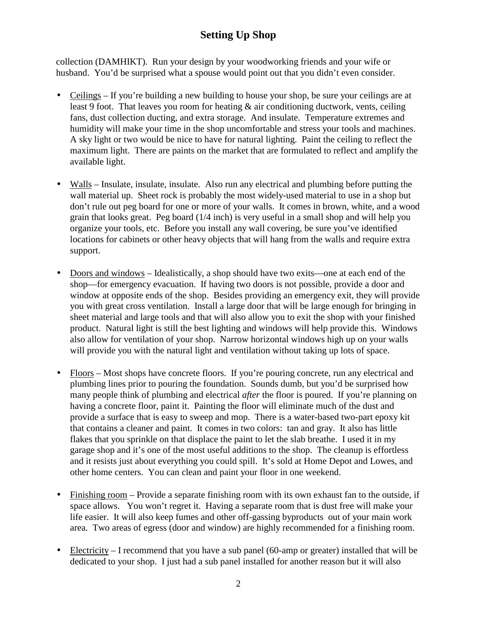collection (DAMHIKT). Run your design by your woodworking friends and your wife or husband. You'd be surprised what a spouse would point out that you didn't even consider.

- Ceilings If you're building a new building to house your shop, be sure your ceilings are at least 9 foot. That leaves you room for heating & air conditioning ductwork, vents, ceiling fans, dust collection ducting, and extra storage. And insulate. Temperature extremes and humidity will make your time in the shop uncomfortable and stress your tools and machines. A sky light or two would be nice to have for natural lighting. Paint the ceiling to reflect the maximum light. There are paints on the market that are formulated to reflect and amplify the available light.
- Walls Insulate, insulate, insulate. Also run any electrical and plumbing before putting the wall material up. Sheet rock is probably the most widely-used material to use in a shop but don't rule out peg board for one or more of your walls. It comes in brown, white, and a wood grain that looks great. Peg board (1/4 inch) is very useful in a small shop and will help you organize your tools, etc. Before you install any wall covering, be sure you've identified locations for cabinets or other heavy objects that will hang from the walls and require extra support.
- Doors and windows Idealistically, a shop should have two exits—one at each end of the shop—for emergency evacuation. If having two doors is not possible, provide a door and window at opposite ends of the shop. Besides providing an emergency exit, they will provide you with great cross ventilation. Install a large door that will be large enough for bringing in sheet material and large tools and that will also allow you to exit the shop with your finished product. Natural light is still the best lighting and windows will help provide this. Windows also allow for ventilation of your shop. Narrow horizontal windows high up on your walls will provide you with the natural light and ventilation without taking up lots of space.
- Floors Most shops have concrete floors. If you're pouring concrete, run any electrical and plumbing lines prior to pouring the foundation. Sounds dumb, but you'd be surprised how many people think of plumbing and electrical *after* the floor is poured. If you're planning on having a concrete floor, paint it. Painting the floor will eliminate much of the dust and provide a surface that is easy to sweep and mop. There is a water-based two-part epoxy kit that contains a cleaner and paint. It comes in two colors: tan and gray. It also has little flakes that you sprinkle on that displace the paint to let the slab breathe. I used it in my garage shop and it's one of the most useful additions to the shop. The cleanup is effortless and it resists just about everything you could spill. It's sold at Home Depot and Lowes, and other home centers. You can clean and paint your floor in one weekend.
- Finishing room Provide a separate finishing room with its own exhaust fan to the outside, if space allows. You won't regret it. Having a separate room that is dust free will make your life easier. It will also keep fumes and other off-gassing byproducts out of your main work area. Two areas of egress (door and window) are highly recommended for a finishing room.
- Electricity I recommend that you have a sub panel (60-amp or greater) installed that will be dedicated to your shop. I just had a sub panel installed for another reason but it will also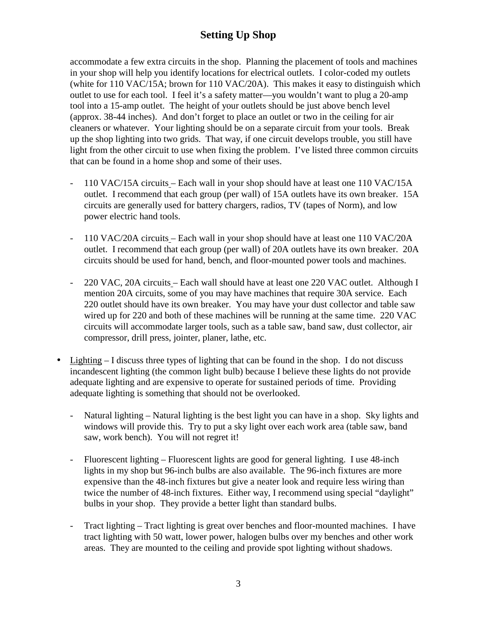accommodate a few extra circuits in the shop. Planning the placement of tools and machines in your shop will help you identify locations for electrical outlets. I color-coded my outlets (white for 110 VAC/15A; brown for 110 VAC/20A). This makes it easy to distinguish which outlet to use for each tool. I feel it's a safety matter—you wouldn't want to plug a 20-amp tool into a 15-amp outlet. The height of your outlets should be just above bench level (approx. 38-44 inches). And don't forget to place an outlet or two in the ceiling for air cleaners or whatever. Your lighting should be on a separate circuit from your tools. Break up the shop lighting into two grids. That way, if one circuit develops trouble, you still have light from the other circuit to use when fixing the problem. I've listed three common circuits that can be found in a home shop and some of their uses.

- 110 VAC/15A circuits Each wall in your shop should have at least one 110 VAC/15A outlet. I recommend that each group (per wall) of 15A outlets have its own breaker. 15A circuits are generally used for battery chargers, radios, TV (tapes of Norm), and low power electric hand tools.
- 110 VAC/20A circuits Each wall in your shop should have at least one 110 VAC/20A outlet. I recommend that each group (per wall) of 20A outlets have its own breaker. 20A circuits should be used for hand, bench, and floor-mounted power tools and machines.
- 220 VAC, 20A circuits Each wall should have at least one 220 VAC outlet. Although I mention 20A circuits, some of you may have machines that require 30A service. Each 220 outlet should have its own breaker. You may have your dust collector and table saw wired up for 220 and both of these machines will be running at the same time. 220 VAC circuits will accommodate larger tools, such as a table saw, band saw, dust collector, air compressor, drill press, jointer, planer, lathe, etc.
- Lighting I discuss three types of lighting that can be found in the shop. I do not discuss incandescent lighting (the common light bulb) because I believe these lights do not provide adequate lighting and are expensive to operate for sustained periods of time. Providing adequate lighting is something that should not be overlooked.
	- Natural lighting Natural lighting is the best light you can have in a shop. Sky lights and windows will provide this. Try to put a sky light over each work area (table saw, band saw, work bench). You will not regret it!
	- Fluorescent lighting Fluorescent lights are good for general lighting. I use 48-inch lights in my shop but 96-inch bulbs are also available. The 96-inch fixtures are more expensive than the 48-inch fixtures but give a neater look and require less wiring than twice the number of 48-inch fixtures. Either way, I recommend using special "daylight" bulbs in your shop. They provide a better light than standard bulbs.
	- Tract lighting Tract lighting is great over benches and floor-mounted machines. I have tract lighting with 50 watt, lower power, halogen bulbs over my benches and other work areas. They are mounted to the ceiling and provide spot lighting without shadows.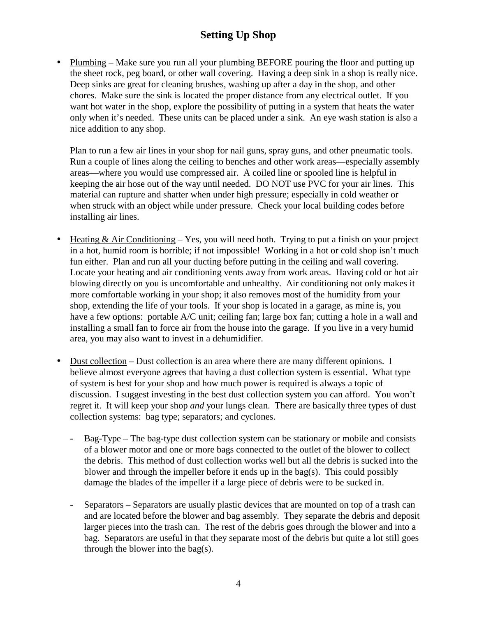• Plumbing – Make sure you run all your plumbing BEFORE pouring the floor and putting up the sheet rock, peg board, or other wall covering. Having a deep sink in a shop is really nice. Deep sinks are great for cleaning brushes, washing up after a day in the shop, and other chores. Make sure the sink is located the proper distance from any electrical outlet. If you want hot water in the shop, explore the possibility of putting in a system that heats the water only when it's needed. These units can be placed under a sink. An eye wash station is also a nice addition to any shop.

Plan to run a few air lines in your shop for nail guns, spray guns, and other pneumatic tools. Run a couple of lines along the ceiling to benches and other work areas—especially assembly areas—where you would use compressed air. A coiled line or spooled line is helpful in keeping the air hose out of the way until needed. DO NOT use PVC for your air lines. This material can rupture and shatter when under high pressure; especially in cold weather or when struck with an object while under pressure. Check your local building codes before installing air lines.

- Heating  $& Air Conditioning Yes$ , you will need both. Trying to put a finish on your project in a hot, humid room is horrible; if not impossible! Working in a hot or cold shop isn't much fun either. Plan and run all your ducting before putting in the ceiling and wall covering. Locate your heating and air conditioning vents away from work areas. Having cold or hot air blowing directly on you is uncomfortable and unhealthy. Air conditioning not only makes it more comfortable working in your shop; it also removes most of the humidity from your shop, extending the life of your tools. If your shop is located in a garage, as mine is, you have a few options: portable A/C unit; ceiling fan; large box fan; cutting a hole in a wall and installing a small fan to force air from the house into the garage. If you live in a very humid area, you may also want to invest in a dehumidifier.
- Dust collection Dust collection is an area where there are many different opinions. I believe almost everyone agrees that having a dust collection system is essential. What type of system is best for your shop and how much power is required is always a topic of discussion. I suggest investing in the best dust collection system you can afford. You won't regret it. It will keep your shop *and* your lungs clean. There are basically three types of dust collection systems: bag type; separators; and cyclones.
	- Bag-Type The bag-type dust collection system can be stationary or mobile and consists of a blower motor and one or more bags connected to the outlet of the blower to collect the debris. This method of dust collection works well but all the debris is sucked into the blower and through the impeller before it ends up in the bag(s). This could possibly damage the blades of the impeller if a large piece of debris were to be sucked in.
	- Separators Separators are usually plastic devices that are mounted on top of a trash can and are located before the blower and bag assembly. They separate the debris and deposit larger pieces into the trash can. The rest of the debris goes through the blower and into a bag. Separators are useful in that they separate most of the debris but quite a lot still goes through the blower into the bag(s).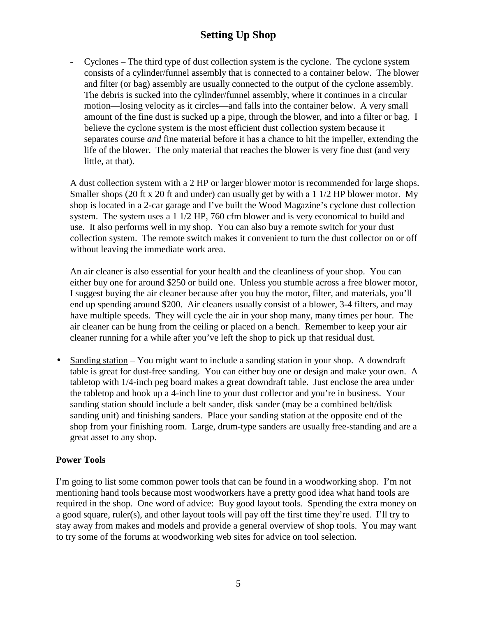- Cyclones – The third type of dust collection system is the cyclone. The cyclone system consists of a cylinder/funnel assembly that is connected to a container below. The blower and filter (or bag) assembly are usually connected to the output of the cyclone assembly. The debris is sucked into the cylinder/funnel assembly, where it continues in a circular motion—losing velocity as it circles—and falls into the container below. A very small amount of the fine dust is sucked up a pipe, through the blower, and into a filter or bag. I believe the cyclone system is the most efficient dust collection system because it separates course *and* fine material before it has a chance to hit the impeller, extending the life of the blower. The only material that reaches the blower is very fine dust (and very little, at that).

A dust collection system with a 2 HP or larger blower motor is recommended for large shops. Smaller shops (20 ft x 20 ft and under) can usually get by with a 1 1/2 HP blower motor. My shop is located in a 2-car garage and I've built the Wood Magazine's cyclone dust collection system. The system uses a 1 1/2 HP, 760 cfm blower and is very economical to build and use. It also performs well in my shop. You can also buy a remote switch for your dust collection system. The remote switch makes it convenient to turn the dust collector on or off without leaving the immediate work area.

An air cleaner is also essential for your health and the cleanliness of your shop. You can either buy one for around \$250 or build one. Unless you stumble across a free blower motor, I suggest buying the air cleaner because after you buy the motor, filter, and materials, you'll end up spending around \$200. Air cleaners usually consist of a blower, 3-4 filters, and may have multiple speeds. They will cycle the air in your shop many, many times per hour. The air cleaner can be hung from the ceiling or placed on a bench. Remember to keep your air cleaner running for a while after you've left the shop to pick up that residual dust.

• Sanding station – You might want to include a sanding station in your shop. A downdraft table is great for dust-free sanding. You can either buy one or design and make your own. A tabletop with 1/4-inch peg board makes a great downdraft table. Just enclose the area under the tabletop and hook up a 4-inch line to your dust collector and you're in business. Your sanding station should include a belt sander, disk sander (may be a combined belt/disk sanding unit) and finishing sanders. Place your sanding station at the opposite end of the shop from your finishing room. Large, drum-type sanders are usually free-standing and are a great asset to any shop.

#### **Power Tools**

I'm going to list some common power tools that can be found in a woodworking shop. I'm not mentioning hand tools because most woodworkers have a pretty good idea what hand tools are required in the shop. One word of advice: Buy good layout tools. Spending the extra money on a good square, ruler(s), and other layout tools will pay off the first time they're used. I'll try to stay away from makes and models and provide a general overview of shop tools. You may want to try some of the forums at woodworking web sites for advice on tool selection.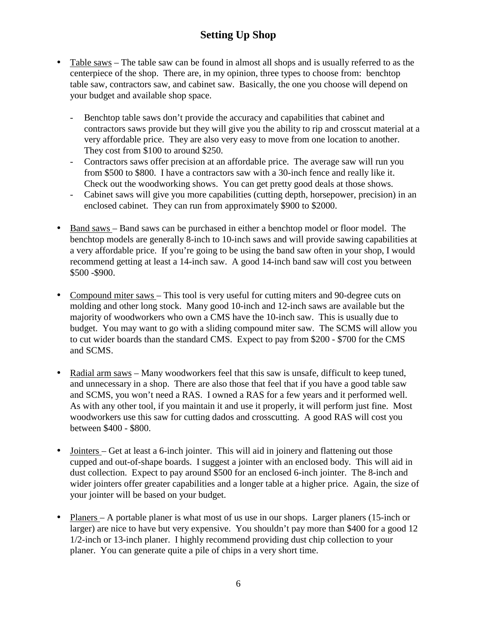- Table saws The table saw can be found in almost all shops and is usually referred to as the centerpiece of the shop. There are, in my opinion, three types to choose from: benchtop table saw, contractors saw, and cabinet saw. Basically, the one you choose will depend on your budget and available shop space.
	- Benchtop table saws don't provide the accuracy and capabilities that cabinet and contractors saws provide but they will give you the ability to rip and crosscut material at a very affordable price. They are also very easy to move from one location to another. They cost from \$100 to around \$250.
	- Contractors saws offer precision at an affordable price. The average saw will run you from \$500 to \$800. I have a contractors saw with a 30-inch fence and really like it. Check out the woodworking shows. You can get pretty good deals at those shows.
	- Cabinet saws will give you more capabilities (cutting depth, horsepower, precision) in an enclosed cabinet. They can run from approximately \$900 to \$2000.
- Band saws Band saws can be purchased in either a benchtop model or floor model. The benchtop models are generally 8-inch to 10-inch saws and will provide sawing capabilities at a very affordable price. If you're going to be using the band saw often in your shop, I would recommend getting at least a 14-inch saw. A good 14-inch band saw will cost you between \$500 -\$900.
- Compound miter saws This tool is very useful for cutting miters and 90-degree cuts on molding and other long stock. Many good 10-inch and 12-inch saws are available but the majority of woodworkers who own a CMS have the 10-inch saw. This is usually due to budget. You may want to go with a sliding compound miter saw. The SCMS will allow you to cut wider boards than the standard CMS. Expect to pay from \$200 - \$700 for the CMS and SCMS.
- Radial arm saws Many woodworkers feel that this saw is unsafe, difficult to keep tuned, and unnecessary in a shop. There are also those that feel that if you have a good table saw and SCMS, you won't need a RAS. I owned a RAS for a few years and it performed well. As with any other tool, if you maintain it and use it properly, it will perform just fine. Most woodworkers use this saw for cutting dados and crosscutting. A good RAS will cost you between \$400 - \$800.
- Jointers Get at least a 6-inch jointer. This will aid in joinery and flattening out those cupped and out-of-shape boards. I suggest a jointer with an enclosed body. This will aid in dust collection. Expect to pay around \$500 for an enclosed 6-inch jointer. The 8-inch and wider jointers offer greater capabilities and a longer table at a higher price. Again, the size of your jointer will be based on your budget.
- Planers A portable planer is what most of us use in our shops. Larger planers (15-inch or larger) are nice to have but very expensive. You shouldn't pay more than \$400 for a good 12 1/2-inch or 13-inch planer. I highly recommend providing dust chip collection to your planer. You can generate quite a pile of chips in a very short time.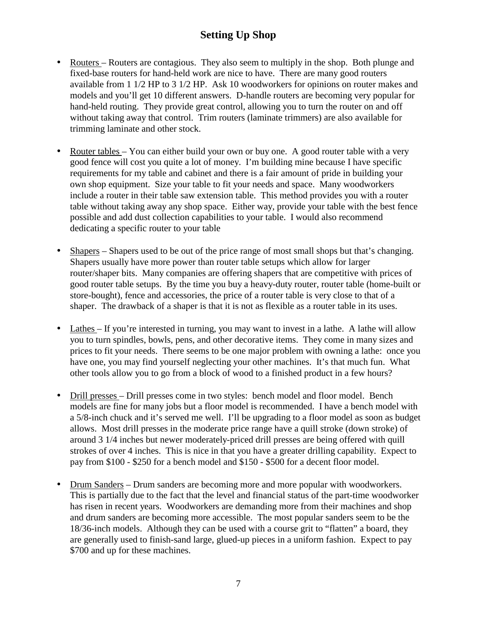- Routers Routers are contagious. They also seem to multiply in the shop. Both plunge and fixed-base routers for hand-held work are nice to have. There are many good routers available from 1 1/2 HP to 3 1/2 HP. Ask 10 woodworkers for opinions on router makes and models and you'll get 10 different answers. D-handle routers are becoming very popular for hand-held routing. They provide great control, allowing you to turn the router on and off without taking away that control. Trim routers (laminate trimmers) are also available for trimming laminate and other stock.
- Router tables You can either build your own or buy one. A good router table with a very good fence will cost you quite a lot of money. I'm building mine because I have specific requirements for my table and cabinet and there is a fair amount of pride in building your own shop equipment. Size your table to fit your needs and space. Many woodworkers include a router in their table saw extension table. This method provides you with a router table without taking away any shop space. Either way, provide your table with the best fence possible and add dust collection capabilities to your table. I would also recommend dedicating a specific router to your table
- Shapers Shapers used to be out of the price range of most small shops but that's changing. Shapers usually have more power than router table setups which allow for larger router/shaper bits. Many companies are offering shapers that are competitive with prices of good router table setups. By the time you buy a heavy-duty router, router table (home-built or store-bought), fence and accessories, the price of a router table is very close to that of a shaper. The drawback of a shaper is that it is not as flexible as a router table in its uses.
- Lathes If you're interested in turning, you may want to invest in a lathe. A lathe will allow you to turn spindles, bowls, pens, and other decorative items. They come in many sizes and prices to fit your needs. There seems to be one major problem with owning a lathe: once you have one, you may find yourself neglecting your other machines. It's that much fun. What other tools allow you to go from a block of wood to a finished product in a few hours?
- Drill presses Drill presses come in two styles: bench model and floor model. Bench models are fine for many jobs but a floor model is recommended. I have a bench model with a 5/8-inch chuck and it's served me well. I'll be upgrading to a floor model as soon as budget allows. Most drill presses in the moderate price range have a quill stroke (down stroke) of around 3 1/4 inches but newer moderately-priced drill presses are being offered with quill strokes of over 4 inches. This is nice in that you have a greater drilling capability. Expect to pay from \$100 - \$250 for a bench model and \$150 - \$500 for a decent floor model.
- Drum Sanders Drum sanders are becoming more and more popular with woodworkers. This is partially due to the fact that the level and financial status of the part-time woodworker has risen in recent years. Woodworkers are demanding more from their machines and shop and drum sanders are becoming more accessible. The most popular sanders seem to be the 18/36-inch models. Although they can be used with a course grit to "flatten" a board, they are generally used to finish-sand large, glued-up pieces in a uniform fashion. Expect to pay \$700 and up for these machines.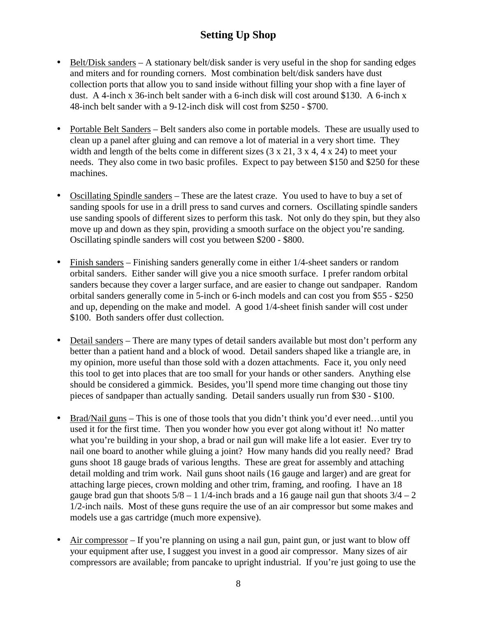- Belt/Disk sanders A stationary belt/disk sander is very useful in the shop for sanding edges and miters and for rounding corners. Most combination belt/disk sanders have dust collection ports that allow you to sand inside without filling your shop with a fine layer of dust. A 4-inch x 36-inch belt sander with a 6-inch disk will cost around \$130. A 6-inch x 48-inch belt sander with a 9-12-inch disk will cost from \$250 - \$700.
- Portable Belt Sanders Belt sanders also come in portable models. These are usually used to clean up a panel after gluing and can remove a lot of material in a very short time. They width and length of the belts come in different sizes  $(3 \times 21, 3 \times 4, 4 \times 24)$  to meet your needs. They also come in two basic profiles. Expect to pay between \$150 and \$250 for these machines.
- Oscillating Spindle sanders These are the latest craze. You used to have to buy a set of sanding spools for use in a drill press to sand curves and corners. Oscillating spindle sanders use sanding spools of different sizes to perform this task. Not only do they spin, but they also move up and down as they spin, providing a smooth surface on the object you're sanding. Oscillating spindle sanders will cost you between \$200 - \$800.
- Finish sanders Finishing sanders generally come in either 1/4-sheet sanders or random orbital sanders. Either sander will give you a nice smooth surface. I prefer random orbital sanders because they cover a larger surface, and are easier to change out sandpaper. Random orbital sanders generally come in 5-inch or 6-inch models and can cost you from \$55 - \$250 and up, depending on the make and model. A good 1/4-sheet finish sander will cost under \$100. Both sanders offer dust collection.
- Detail sanders There are many types of detail sanders available but most don't perform any better than a patient hand and a block of wood. Detail sanders shaped like a triangle are, in my opinion, more useful than those sold with a dozen attachments. Face it, you only need this tool to get into places that are too small for your hands or other sanders. Anything else should be considered a gimmick. Besides, you'll spend more time changing out those tiny pieces of sandpaper than actually sanding. Detail sanders usually run from \$30 - \$100.
- Brad/Nail guns This is one of those tools that you didn't think you'd ever need...until you used it for the first time. Then you wonder how you ever got along without it! No matter what you're building in your shop, a brad or nail gun will make life a lot easier. Ever try to nail one board to another while gluing a joint? How many hands did you really need? Brad guns shoot 18 gauge brads of various lengths. These are great for assembly and attaching detail molding and trim work. Nail guns shoot nails (16 gauge and larger) and are great for attaching large pieces, crown molding and other trim, framing, and roofing. I have an 18 gauge brad gun that shoots  $5/8 - 1$  1/4-inch brads and a 16 gauge nail gun that shoots  $3/4 - 2$ 1/2-inch nails. Most of these guns require the use of an air compressor but some makes and models use a gas cartridge (much more expensive).
- Air compressor If you're planning on using a nail gun, paint gun, or just want to blow off your equipment after use, I suggest you invest in a good air compressor. Many sizes of air compressors are available; from pancake to upright industrial. If you're just going to use the